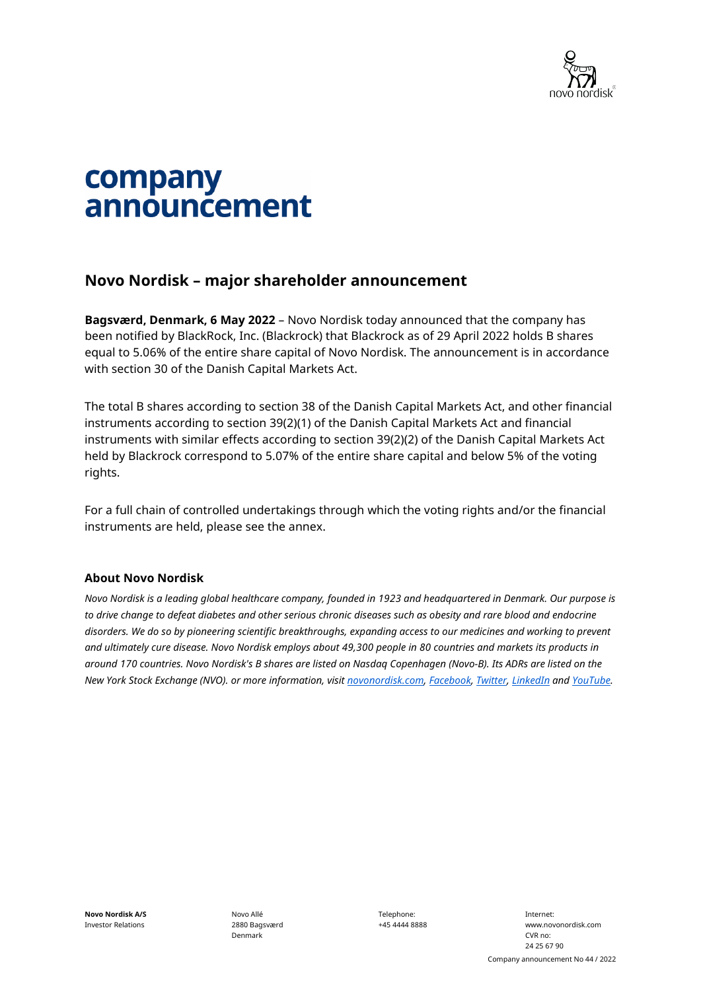

# company announcement

### **Novo Nordisk – major shareholder announcement**

**Bagsværd, Denmark, 6 May 2022** – Novo Nordisk today announced that the company has been notified by BlackRock, Inc. (Blackrock) that Blackrock as of 29 April 2022 holds B shares equal to 5.06% of the entire share capital of Novo Nordisk. The announcement is in accordance with section 30 of the Danish Capital Markets Act.

The total B shares according to section 38 of the Danish Capital Markets Act, and other financial instruments according to section 39(2)(1) of the Danish Capital Markets Act and financial instruments with similar effects according to section 39(2)(2) of the Danish Capital Markets Act held by Blackrock correspond to 5.07% of the entire share capital and below 5% of the voting rights.

For a full chain of controlled undertakings through which the voting rights and/or the financial instruments are held, please see the annex.

#### **About Novo Nordisk**

*Novo Nordisk is a leading global healthcare company, founded in 1923 and headquartered in Denmark. Our purpose is*  to drive change to defeat diabetes and other serious chronic diseases such as obesity and rare blood and endocrine *disorders. We do so by pioneering scientific breakthroughs, expanding access to our medicines and working to prevent and ultimately cure disease. Novo Nordisk employs about 49,300 people in 80 countries and markets its products in around 170 countries. Novo Nordisk's B shares are listed on Nasdaq Copenhagen (Novo-B). Its ADRs are listed on the New York Stock Exchange (NVO). or more information, visit [novonordisk.com,](https://www.novonordisk.com/) [Facebook,](https://www.facebook.com/novonordisk) [Twitter,](https://twitter.com/novonordisk) [LinkedIn](https://www.linkedin.com/company/novo-nordisk/) and [YouTube.](https://www.youtube.com/user/novonordisk/custom)* 

**Novo Nordisk A/S** Investor Relations Novo Allé 2880 Bagsværd Denmark

Telephone: +45 4444 8888

Internet: www.novonordisk.com CVR no: 24 25 67 90 Company announcement No 44 / 2022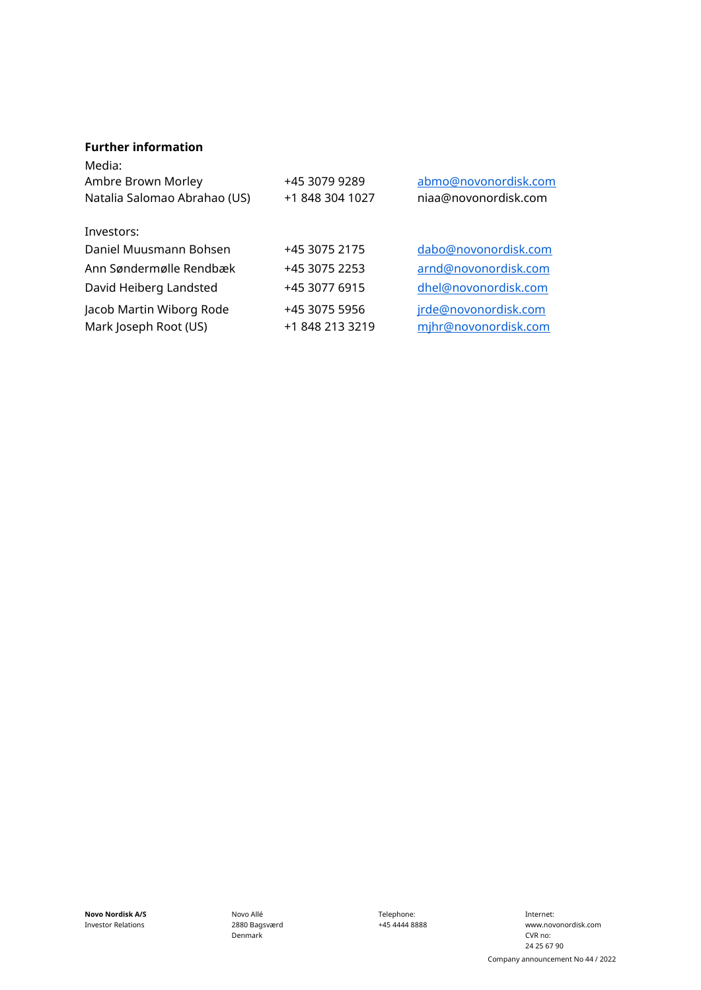#### **Further information**

| Media:<br>Ambre Brown Morley<br>Natalia Salomao Abrahao (US) | +45 3079 9289<br>+1 848 304 1027 | abmo@novonordisk.com<br>niaa@novonordisk.com |
|--------------------------------------------------------------|----------------------------------|----------------------------------------------|
| Investors:                                                   |                                  |                                              |
| Daniel Muusmann Bohsen                                       | +45 3075 2175                    | dabo@novonordisk.com                         |
| Ann Søndermølle Rendbæk                                      | +45 3075 2253                    | arnd@novonordisk.com                         |
| David Heiberg Landsted                                       | +45 3077 6915                    | dhel@novonordisk.com                         |
| Jacob Martin Wiborg Rode<br>Mark Joseph Root (US)            | +45 3075 5956<br>+1 848 213 3219 | jrde@novonordisk.com<br>mjhr@novonordisk.com |

**Novo Nordisk A/S** Investor Relations

Novo Allé 2880 Bagsværd Denmark

Telephone: +45 4444 8888

Internet: www.novonordisk.com CVR no: 24 25 67 90 Company announcement No 44 / 2022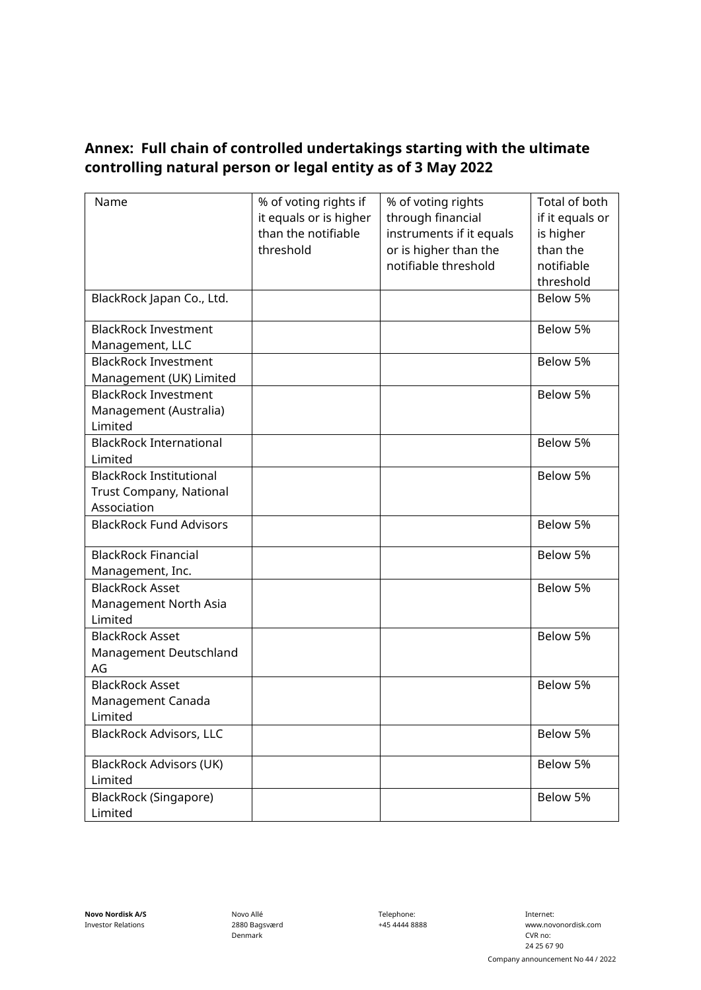## **Annex: Full chain of controlled undertakings starting with the ultimate controlling natural person or legal entity as of 3 May 2022**

| Name                           | % of voting rights if  | % of voting rights       | Total of both   |
|--------------------------------|------------------------|--------------------------|-----------------|
|                                | it equals or is higher | through financial        | if it equals or |
|                                | than the notifiable    | instruments if it equals | is higher       |
|                                | threshold              | or is higher than the    | than the        |
|                                |                        | notifiable threshold     | notifiable      |
|                                |                        |                          | threshold       |
| BlackRock Japan Co., Ltd.      |                        |                          | Below 5%        |
|                                |                        |                          |                 |
| <b>BlackRock Investment</b>    |                        |                          | Below 5%        |
| Management, LLC                |                        |                          |                 |
| <b>BlackRock Investment</b>    |                        |                          | Below 5%        |
| Management (UK) Limited        |                        |                          |                 |
| <b>BlackRock Investment</b>    |                        |                          | Below 5%        |
| Management (Australia)         |                        |                          |                 |
| Limited                        |                        |                          |                 |
| <b>BlackRock International</b> |                        |                          | Below 5%        |
| Limited                        |                        |                          |                 |
| <b>BlackRock Institutional</b> |                        |                          | Below 5%        |
| Trust Company, National        |                        |                          |                 |
| Association                    |                        |                          |                 |
| <b>BlackRock Fund Advisors</b> |                        |                          | Below 5%        |
|                                |                        |                          |                 |
| <b>BlackRock Financial</b>     |                        |                          | Below 5%        |
| Management, Inc.               |                        |                          |                 |
| <b>BlackRock Asset</b>         |                        |                          | Below 5%        |
| Management North Asia          |                        |                          |                 |
| Limited                        |                        |                          |                 |
| <b>BlackRock Asset</b>         |                        |                          | Below 5%        |
| Management Deutschland         |                        |                          |                 |
| AG                             |                        |                          |                 |
| <b>BlackRock Asset</b>         |                        |                          | Below 5%        |
| Management Canada              |                        |                          |                 |
| Limited                        |                        |                          |                 |
| <b>BlackRock Advisors, LLC</b> |                        |                          | Below 5%        |
| <b>BlackRock Advisors (UK)</b> |                        |                          | Below 5%        |
| Limited                        |                        |                          |                 |
| BlackRock (Singapore)          |                        |                          | Below 5%        |
| Limited                        |                        |                          |                 |

Telephone: +45 4444 8888